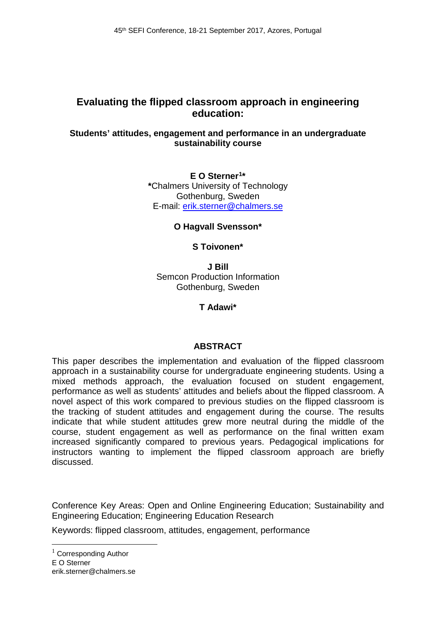# **Evaluating the flipped classroom approach in engineering education:**

#### **Students' attitudes, engagement and performance in an undergraduate sustainability course**

### **E O Sterner[1\\*](#page-0-0) \***Chalmers University of Technology Gothenburg, Sweden E-mail: erik.sterner@chalmers.se

# **O Hagvall Svensson\***

# **S Toivonen\***

**J Bill** Semcon Production Information Gothenburg, Sweden

**T Adawi\***

#### **ABSTRACT**

This paper describes the implementation and evaluation of the flipped classroom approach in a sustainability course for undergraduate engineering students. Using a mixed methods approach, the evaluation focused on student engagement, performance as well as students' attitudes and beliefs about the flipped classroom. A novel aspect of this work compared to previous studies on the flipped classroom is the tracking of student attitudes and engagement during the course. The results indicate that while student attitudes grew more neutral during the middle of the course, student engagement as well as performance on the final written exam increased significantly compared to previous years. Pedagogical implications for instructors wanting to implement the flipped classroom approach are briefly discussed.

Conference Key Areas: Open and Online Engineering Education; Sustainability and Engineering Education; Engineering Education Research

Keywords: flipped classroom, attitudes, engagement, performance

<span id="page-0-0"></span> $1$  Corresponding Author E O Sterner erik.sterner@chalmers.se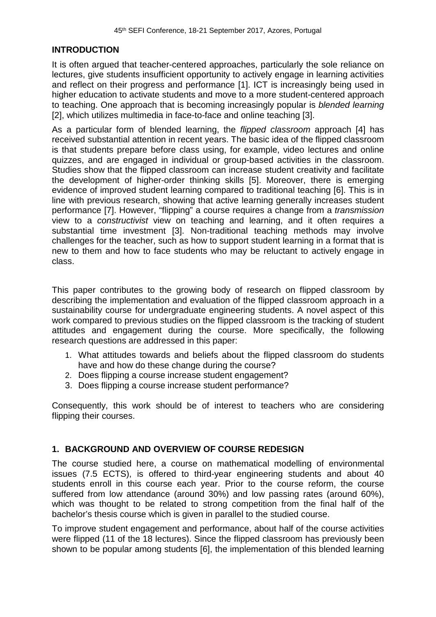# **INTRODUCTION**

It is often argued that teacher-centered approaches, particularly the sole reliance on lectures, give students insufficient opportunity to actively engage in learning activities and reflect on their progress and performance [1]. ICT is increasingly being used in higher education to activate students and move to a more student-centered approach to teaching. One approach that is becoming increasingly popular is *blended learning* [2], which utilizes multimedia in face-to-face and online teaching [3].

As a particular form of blended learning, the *flipped classroom* approach [4] has received substantial attention in recent years. The basic idea of the flipped classroom is that students prepare before class using, for example, video lectures and online quizzes, and are engaged in individual or group-based activities in the classroom. Studies show that the flipped classroom can increase student creativity and facilitate the development of higher-order thinking skills [5]. Moreover, there is emerging evidence of improved student learning compared to traditional teaching [6]. This is in line with previous research, showing that active learning generally increases student performance [7]. However, "flipping" a course requires a change from a *transmission* view to a *constructivist* view on teaching and learning, and it often requires a substantial time investment [3]. Non-traditional teaching methods may involve challenges for the teacher, such as how to support student learning in a format that is new to them and how to face students who may be reluctant to actively engage in class.

This paper contributes to the growing body of research on flipped classroom by describing the implementation and evaluation of the flipped classroom approach in a sustainability course for undergraduate engineering students. A novel aspect of this work compared to previous studies on the flipped classroom is the tracking of student attitudes and engagement during the course. More specifically, the following research questions are addressed in this paper:

- 1. What attitudes towards and beliefs about the flipped classroom do students have and how do these change during the course?
- 2. Does flipping a course increase student engagement?
- 3. Does flipping a course increase student performance?

Consequently, this work should be of interest to teachers who are considering flipping their courses.

# **1. BACKGROUND AND OVERVIEW OF COURSE REDESIGN**

The course studied here, a course on mathematical modelling of environmental issues (7.5 ECTS), is offered to third-year engineering students and about 40 students enroll in this course each year. Prior to the course reform, the course suffered from low attendance (around 30%) and low passing rates (around 60%), which was thought to be related to strong competition from the final half of the bachelor's thesis course which is given in parallel to the studied course.

To improve student engagement and performance, about half of the course activities were flipped (11 of the 18 lectures). Since the flipped classroom has previously been shown to be popular among students [6], the implementation of this blended learning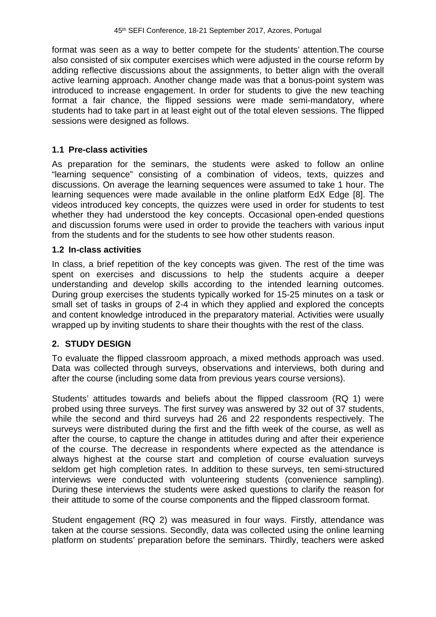format was seen as a way to better compete for the students' attention.The course also consisted of six computer exercises which were adjusted in the course reform by adding reflective discussions about the assignments, to better align with the overall active learning approach. Another change made was that a bonus-point system was introduced to increase engagement. In order for students to give the new teaching format a fair chance, the flipped sessions were made semi-mandatory, where students had to take part in at least eight out of the total eleven sessions. The flipped sessions were designed as follows.

# **1.1 Pre-class activities**

As preparation for the seminars, the students were asked to follow an online "learning sequence" consisting of a combination of videos, texts, quizzes and discussions. On average the learning sequences were assumed to take 1 hour. The learning sequences were made available in the online platform EdX Edge [8]. The videos introduced key concepts, the quizzes were used in order for students to test whether they had understood the key concepts. Occasional open-ended questions and discussion forums were used in order to provide the teachers with various input from the students and for the students to see how other students reason.

#### **1.2 In-class activities**

In class, a brief repetition of the key concepts was given. The rest of the time was spent on exercises and discussions to help the students acquire a deeper understanding and develop skills according to the intended learning outcomes. During group exercises the students typically worked for 15-25 minutes on a task or small set of tasks in groups of 2-4 in which they applied and explored the concepts and content knowledge introduced in the preparatory material. Activities were usually wrapped up by inviting students to share their thoughts with the rest of the class.

#### **2. STUDY DESIGN**

To evaluate the flipped classroom approach, a mixed methods approach was used. Data was collected through surveys, observations and interviews, both during and after the course (including some data from previous years course versions).

Students' attitudes towards and beliefs about the flipped classroom (RQ 1) were probed using three surveys. The first survey was answered by 32 out of 37 students, while the second and third surveys had 26 and 22 respondents respectively. The surveys were distributed during the first and the fifth week of the course, as well as after the course, to capture the change in attitudes during and after their experience of the course. The decrease in respondents where expected as the attendance is always highest at the course start and completion of course evaluation surveys seldom get high completion rates. In addition to these surveys, ten semi-structured interviews were conducted with volunteering students (convenience sampling). During these interviews the students were asked questions to clarify the reason for their attitude to some of the course components and the flipped classroom format.

Student engagement (RQ 2) was measured in four ways. Firstly, attendance was taken at the course sessions. Secondly, data was collected using the online learning platform on students' preparation before the seminars. Thirdly, teachers were asked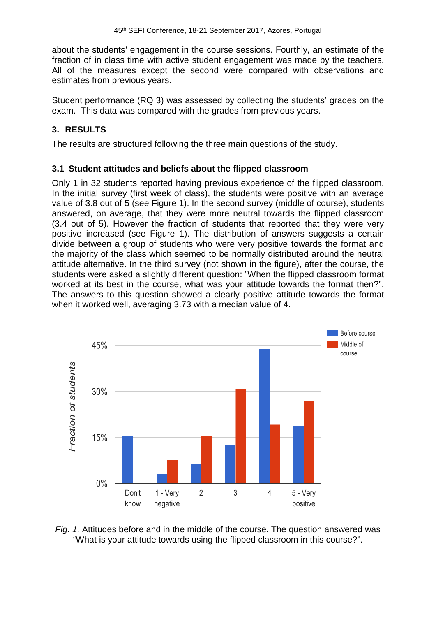about the students' engagement in the course sessions. Fourthly, an estimate of the fraction of in class time with active student engagement was made by the teachers. All of the measures except the second were compared with observations and estimates from previous years.

Student performance (RQ 3) was assessed by collecting the students' grades on the exam. This data was compared with the grades from previous years.

# **3. RESULTS**

The results are structured following the three main questions of the study.

# **3.1 Student attitudes and beliefs about the flipped classroom**

Only 1 in 32 students reported having previous experience of the flipped classroom. In the initial survey (first week of class), the students were positive with an average value of 3.8 out of 5 (see Figure 1). In the second survey (middle of course), students answered, on average, that they were more neutral towards the flipped classroom (3.4 out of 5). However the fraction of students that reported that they were very positive increased (see Figure 1). The distribution of answers suggests a certain divide between a group of students who were very positive towards the format and the majority of the class which seemed to be normally distributed around the neutral attitude alternative. In the third survey (not shown in the figure), after the course, the students were asked a slightly different question: "When the flipped classroom format worked at its best in the course, what was your attitude towards the format then?". The answers to this question showed a clearly positive attitude towards the format when it worked well, averaging 3.73 with a median value of 4.



*Fig. 1.* Attitudes before and in the middle of the course. The question answered was "What is your attitude towards using the flipped classroom in this course?".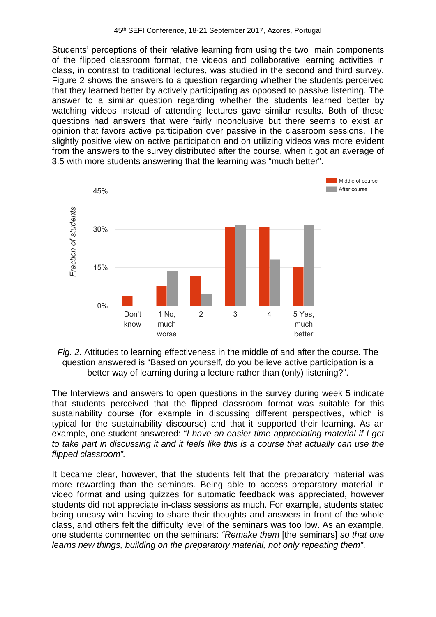Students' perceptions of their relative learning from using the two main components of the flipped classroom format, the videos and collaborative learning activities in class, in contrast to traditional lectures, was studied in the second and third survey. Figure 2 shows the answers to a question regarding whether the students perceived that they learned better by actively participating as opposed to passive listening. The answer to a similar question regarding whether the students learned better by watching videos instead of attending lectures gave similar results. Both of these questions had answers that were fairly inconclusive but there seems to exist an opinion that favors active participation over passive in the classroom sessions. The slightly positive view on active participation and on utilizing videos was more evident from the answers to the survey distributed after the course, when it got an average of 3.5 with more students answering that the learning was "much better".





The Interviews and answers to open questions in the survey during week 5 indicate that students perceived that the flipped classroom format was suitable for this sustainability course (for example in discussing different perspectives, which is typical for the sustainability discourse) and that it supported their learning. As an example, one student answered: "*I have an easier time appreciating material if I get to take part in discussing it and it feels like this is a course that actually can use the flipped classroom".*

It became clear, however, that the students felt that the preparatory material was more rewarding than the seminars. Being able to access preparatory material in video format and using quizzes for automatic feedback was appreciated, however students did not appreciate in-class sessions as much. For example, students stated being uneasy with having to share their thoughts and answers in front of the whole class, and others felt the difficulty level of the seminars was too low. As an example, one students commented on the seminars: *"Remake them* [the seminars] *so that one learns new things, building on the preparatory material, not only repeating them"*.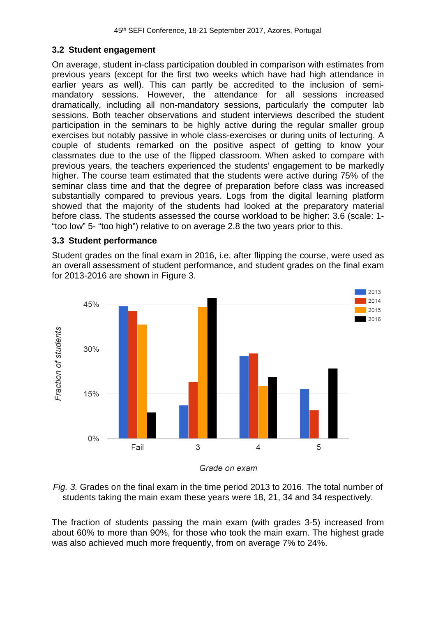## **3.2 Student engagement**

On average, student in-class participation doubled in comparison with estimates from previous years (except for the first two weeks which have had high attendance in earlier years as well). This can partly be accredited to the inclusion of semimandatory sessions. However, the attendance for all sessions increased dramatically, including all non-mandatory sessions, particularly the computer lab sessions. Both teacher observations and student interviews described the student participation in the seminars to be highly active during the regular smaller group exercises but notably passive in whole class-exercises or during units of lecturing. A couple of students remarked on the positive aspect of getting to know your classmates due to the use of the flipped classroom. When asked to compare with previous years, the teachers experienced the students' engagement to be markedly higher. The course team estimated that the students were active during 75% of the seminar class time and that the degree of preparation before class was increased substantially compared to previous years. Logs from the digital learning platform showed that the majority of the students had looked at the preparatory material before class. The students assessed the course workload to be higher: 3.6 (scale: 1- "too low" 5- "too high") relative to on average 2.8 the two years prior to this.

#### **3.3 Student performance**

Student grades on the final exam in 2016, i.e. after flipping the course, were used as an overall assessment of student performance, and student grades on the final exam for 2013-2016 are shown in Figure 3.



Grade on exam

*Fig. 3.* Grades on the final exam in the time period 2013 to 2016. The total number of students taking the main exam these years were 18, 21, 34 and 34 respectively.

The fraction of students passing the main exam (with grades 3-5) increased from about 60% to more than 90%, for those who took the main exam. The highest grade was also achieved much more frequently, from on average 7% to 24%.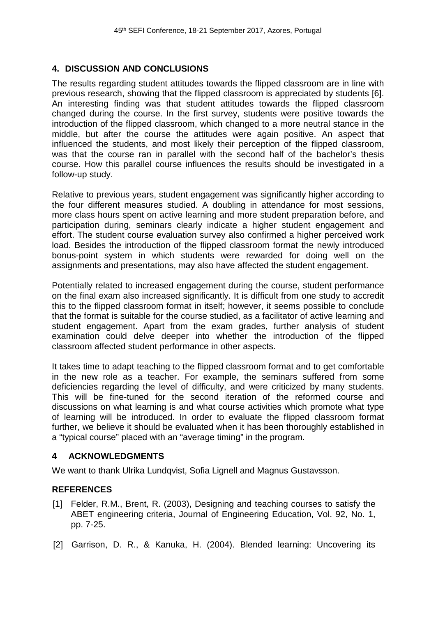## **4. DISCUSSION AND CONCLUSIONS**

The results regarding student attitudes towards the flipped classroom are in line with previous research, showing that the flipped classroom is appreciated by students [6]. An interesting finding was that student attitudes towards the flipped classroom changed during the course. In the first survey, students were positive towards the introduction of the flipped classroom, which changed to a more neutral stance in the middle, but after the course the attitudes were again positive. An aspect that influenced the students, and most likely their perception of the flipped classroom, was that the course ran in parallel with the second half of the bachelor's thesis course. How this parallel course influences the results should be investigated in a follow-up study.

Relative to previous years, student engagement was significantly higher according to the four different measures studied. A doubling in attendance for most sessions, more class hours spent on active learning and more student preparation before, and participation during, seminars clearly indicate a higher student engagement and effort. The student course evaluation survey also confirmed a higher perceived work load. Besides the introduction of the flipped classroom format the newly introduced bonus-point system in which students were rewarded for doing well on the assignments and presentations, may also have affected the student engagement.

Potentially related to increased engagement during the course, student performance on the final exam also increased significantly. It is difficult from one study to accredit this to the flipped classroom format in itself; however, it seems possible to conclude that the format is suitable for the course studied, as a facilitator of active learning and student engagement. Apart from the exam grades, further analysis of student examination could delve deeper into whether the introduction of the flipped classroom affected student performance in other aspects.

It takes time to adapt teaching to the flipped classroom format and to get comfortable in the new role as a teacher. For example, the seminars suffered from some deficiencies regarding the level of difficulty, and were criticized by many students. This will be fine-tuned for the second iteration of the reformed course and discussions on what learning is and what course activities which promote what type of learning will be introduced. In order to evaluate the flipped classroom format further, we believe it should be evaluated when it has been thoroughly established in a "typical course" placed with an "average timing" in the program.

#### **4 ACKNOWLEDGMENTS**

We want to thank Ulrika Lundqvist, Sofia Lignell and Magnus Gustavsson.

# **REFERENCES**

- [1] Felder, R.M., Brent, R. (2003), Designing and teaching courses to satisfy the ABET engineering criteria, Journal of Engineering Education, Vol. 92, No. 1, pp. 7-25.
- [2] Garrison, D. R., & Kanuka, H. (2004). Blended learning: Uncovering its